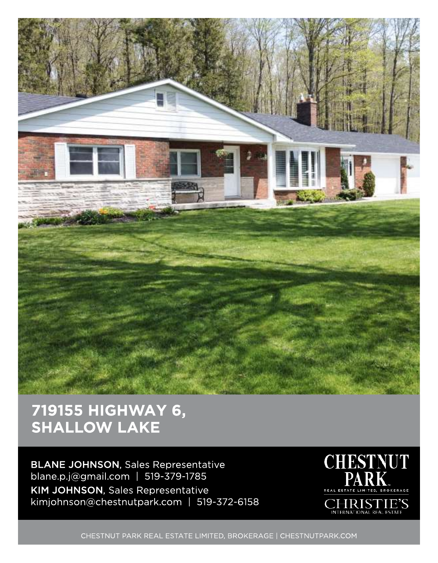

## 719155 HIGHWAY 6, SHALLOW LAKE

BLANE JOHNSON, Sales Representative blane.p.j@gmail.com | 519-379-1785 KIM JOHNSON, Sales Representative kimjohnson@chestnutpark.com | 519-372-6158



CHESTNUT PARK REAL ESTATE LIMITED, BROKERAGE | CHESTNUTPARK.COM